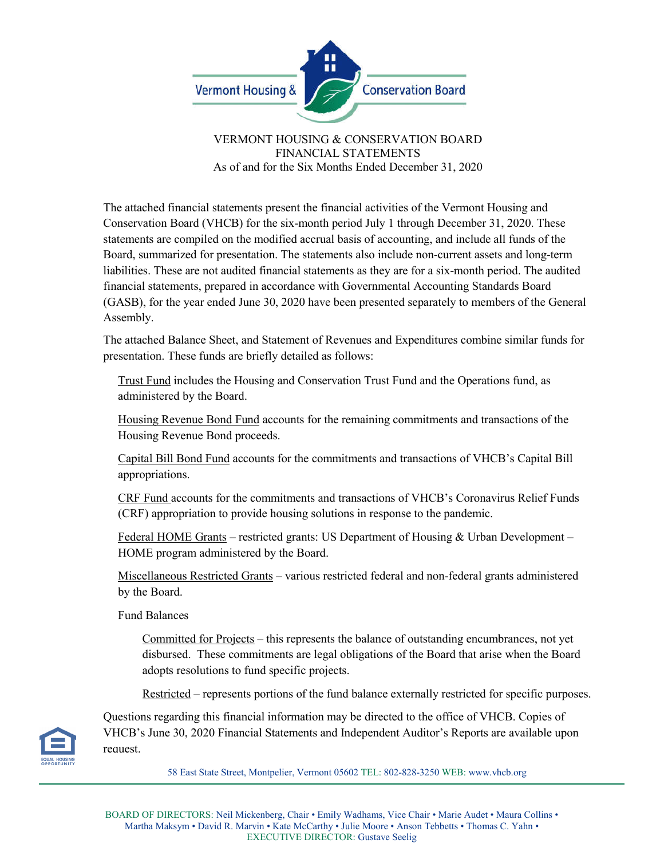

VERMONT HOUSING & CONSERVATION BOARD FINANCIAL STATEMENTS As of and for the Six Months Ended December 31, 2020

The attached financial statements present the financial activities of the Vermont Housing and Conservation Board (VHCB) for the six-month period July 1 through December 31, 2020. These statements are compiled on the modified accrual basis of accounting, and include all funds of the Board, summarized for presentation. The statements also include non-current assets and long-term liabilities. These are not audited financial statements as they are for a six-month period. The audited financial statements, prepared in accordance with Governmental Accounting Standards Board (GASB), for the year ended June 30, 2020 have been presented separately to members of the General Assembly.

The attached Balance Sheet, and Statement of Revenues and Expenditures combine similar funds for presentation. These funds are briefly detailed as follows:

Trust Fund includes the Housing and Conservation Trust Fund and the Operations fund, as administered by the Board.

Housing Revenue Bond Fund accounts for the remaining commitments and transactions of the Housing Revenue Bond proceeds.

Capital Bill Bond Fund accounts for the commitments and transactions of VHCB's Capital Bill appropriations.

CRF Fund accounts for the commitments and transactions of VHCB's Coronavirus Relief Funds (CRF) appropriation to provide housing solutions in response to the pandemic.

Federal HOME Grants – restricted grants: US Department of Housing & Urban Development – HOME program administered by the Board.

Miscellaneous Restricted Grants – various restricted federal and non-federal grants administered by the Board.

Fund Balances

Committed for Projects – this represents the balance of outstanding encumbrances, not yet disbursed. These commitments are legal obligations of the Board that arise when the Board adopts resolutions to fund specific projects.

Restricted – represents portions of the fund balance externally restricted for specific purposes.



Questions regarding this financial information may be directed to the office of VHCB. Copies of VHCB's June 30, 2020 Financial Statements and Independent Auditor's Reports are available upon request.

58 East State Street, Montpelier, Vermont 05602 TEL: 802-828-3250 WEB: www.vhcb.org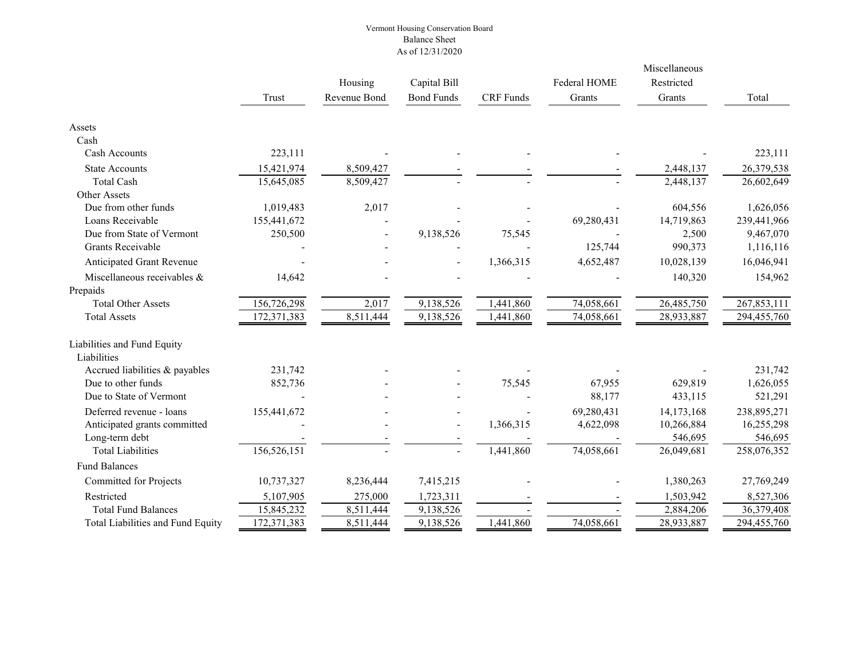## Vermont Housing Conservation Board Balance Sheet As of 12/31/2020

|                                   |             |              |                   |                  |              | Miscellaneous<br>Restricted |             |
|-----------------------------------|-------------|--------------|-------------------|------------------|--------------|-----------------------------|-------------|
|                                   |             | Housing      | Capital Bill      |                  | Federal HOME |                             |             |
|                                   | Trust       | Revenue Bond | <b>Bond Funds</b> | <b>CRF</b> Funds | Grants       | Grants                      | Total       |
| Assets                            |             |              |                   |                  |              |                             |             |
| Cash                              |             |              |                   |                  |              |                             |             |
| Cash Accounts                     | 223,111     |              |                   |                  |              |                             | 223,111     |
| <b>State Accounts</b>             | 15,421,974  | 8,509,427    |                   |                  |              | 2,448,137                   | 26,379,538  |
| <b>Total Cash</b>                 | 15,645,085  | 8,509,427    |                   |                  |              | 2,448,137                   | 26,602,649  |
| Other Assets                      |             |              |                   |                  |              |                             |             |
| Due from other funds              | 1,019,483   | 2,017        |                   |                  |              | 604,556                     | 1,626,056   |
| Loans Receivable                  | 155,441,672 |              |                   |                  | 69,280,431   | 14,719,863                  | 239,441,966 |
| Due from State of Vermont         | 250,500     |              | 9,138,526         | 75,545           |              | 2,500                       | 9,467,070   |
| <b>Grants Receivable</b>          |             |              |                   |                  | 125,744      | 990,373                     | 1,116,116   |
| Anticipated Grant Revenue         |             |              |                   | 1,366,315        | 4,652,487    | 10,028,139                  | 16,046,941  |
| Miscellaneous receivables &       | 14,642      |              |                   |                  |              | 140,320                     | 154,962     |
| Prepaids                          |             |              |                   |                  |              |                             |             |
| <b>Total Other Assets</b>         | 156,726,298 | 2,017        | 9,138,526         | 1,441,860        | 74,058,661   | 26,485,750                  | 267,853,111 |
| <b>Total Assets</b>               | 172,371,383 | 8,511,444    | 9,138,526         | 1,441,860        | 74,058,661   | 28,933,887                  | 294,455,760 |
| Liabilities and Fund Equity       |             |              |                   |                  |              |                             |             |
| Liabilities                       |             |              |                   |                  |              |                             |             |
| Accrued liabilities & payables    | 231,742     |              |                   |                  |              |                             | 231,742     |
| Due to other funds                | 852,736     |              |                   | 75,545           | 67,955       | 629,819                     | 1,626,055   |
| Due to State of Vermont           |             |              |                   |                  | 88,177       | 433,115                     | 521,291     |
| Deferred revenue - loans          | 155,441,672 |              |                   |                  | 69,280,431   | 14,173,168                  | 238,895,271 |
| Anticipated grants committed      |             |              | $\blacksquare$    | 1,366,315        | 4,622,098    | 10,266,884                  | 16,255,298  |
| Long-term debt                    |             |              |                   |                  |              | 546,695                     | 546,695     |
| <b>Total Liabilities</b>          | 156,526,151 |              | $\overline{a}$    | 1,441,860        | 74,058,661   | 26,049,681                  | 258,076,352 |
| <b>Fund Balances</b>              |             |              |                   |                  |              |                             |             |
| <b>Committed for Projects</b>     | 10,737,327  | 8,236,444    | 7,415,215         |                  |              | 1,380,263                   | 27,769,249  |
| Restricted                        | 5,107,905   | 275,000      | 1,723,311         |                  |              | 1,503,942                   | 8,527,306   |
| <b>Total Fund Balances</b>        | 15,845,232  | 8,511,444    | 9,138,526         |                  |              | 2,884,206                   | 36,379,408  |
| Total Liabilities and Fund Equity | 172,371,383 | 8,511,444    | 9,138,526         | 1,441,860        | 74,058,661   | 28,933,887                  | 294,455,760 |